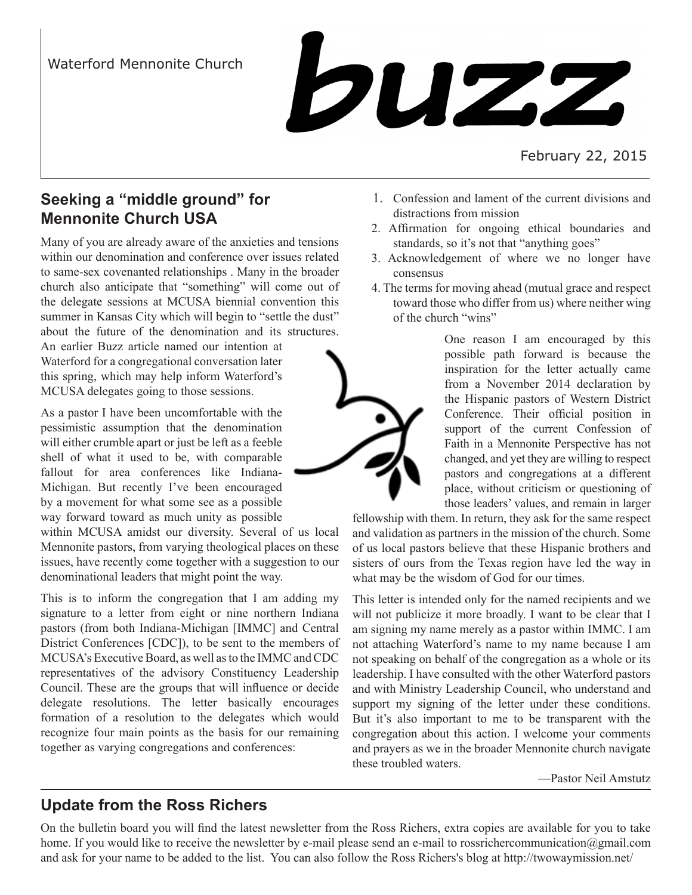

February 22, 2015

## **Seeking a "middle ground" for Mennonite Church USA**

Many of you are already aware of the anxieties and tensions within our denomination and conference over issues related to same-sex covenanted relationships . Many in the broader church also anticipate that "something" will come out of the delegate sessions at MCUSA biennial convention this summer in Kansas City which will begin to "settle the dust" about the future of the denomination and its structures.

An earlier Buzz article named our intention at Waterford for a congregational conversation later this spring, which may help inform Waterford's MCUSA delegates going to those sessions.

As a pastor I have been uncomfortable with the pessimistic assumption that the denomination will either crumble apart or just be left as a feeble shell of what it used to be, with comparable fallout for area conferences like Indiana-Michigan. But recently I've been encouraged by a movement for what some see as a possible way forward toward as much unity as possible

within MCUSA amidst our diversity. Several of us local Mennonite pastors, from varying theological places on these issues, have recently come together with a suggestion to our denominational leaders that might point the way.

This is to inform the congregation that I am adding my signature to a letter from eight or nine northern Indiana pastors (from both Indiana-Michigan [IMMC] and Central District Conferences [CDC]), to be sent to the members of MCUSA's Executive Board, as well as to the IMMC and CDC representatives of the advisory Constituency Leadership Council. These are the groups that will influence or decide delegate resolutions. The letter basically encourages formation of a resolution to the delegates which would recognize four main points as the basis for our remaining together as varying congregations and conferences:

- 1. Confession and lament of the current divisions and distractions from mission
- 2. Affirmation for ongoing ethical boundaries and standards, so it's not that "anything goes"
- 3. Acknowledgement of where we no longer have consensus
- 4. The terms for moving ahead (mutual grace and respect toward those who differ from us) where neither wing of the church "wins"

One reason I am encouraged by this possible path forward is because the inspiration for the letter actually came from a November 2014 declaration by the Hispanic pastors of Western District Conference. Their official position in support of the current Confession of Faith in a Mennonite Perspective has not changed, and yet they are willing to respect pastors and congregations at a different place, without criticism or questioning of those leaders' values, and remain in larger

fellowship with them. In return, they ask for the same respect and validation as partners in the mission of the church. Some of us local pastors believe that these Hispanic brothers and sisters of ours from the Texas region have led the way in what may be the wisdom of God for our times.

This letter is intended only for the named recipients and we will not publicize it more broadly. I want to be clear that I am signing my name merely as a pastor within IMMC. I am not attaching Waterford's name to my name because I am not speaking on behalf of the congregation as a whole or its leadership. I have consulted with the other Waterford pastors and with Ministry Leadership Council, who understand and support my signing of the letter under these conditions. But it's also important to me to be transparent with the congregation about this action. I welcome your comments and prayers as we in the broader Mennonite church navigate these troubled waters.

—Pastor Neil Amstutz

# **Update from the Ross Richers**

On the bulletin board you will find the latest newsletter from the Ross Richers, extra copies are available for you to take home. If you would like to receive the newsletter by e-mail please send an e-mail to rossrichercommunication@gmail.com and ask for your name to be added to the list. You can also follow the Ross Richers's blog at http://twowaymission.net/